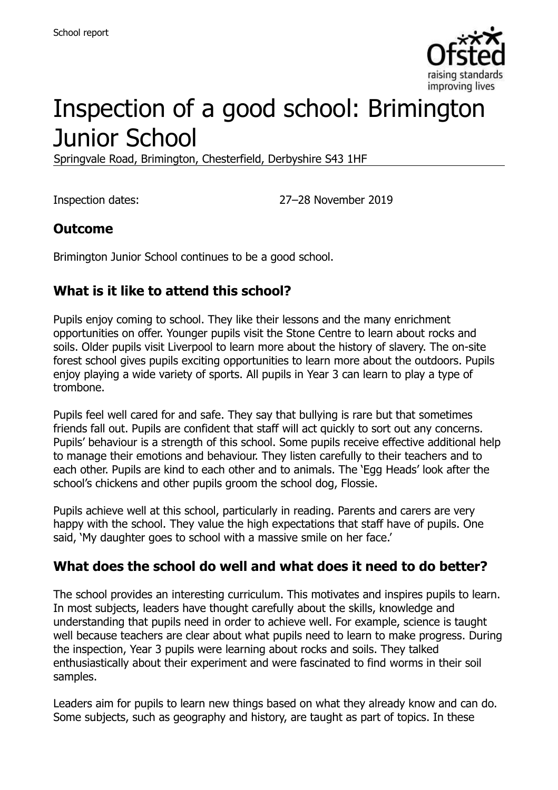

# Inspection of a good school: Brimington Junior School

Springvale Road, Brimington, Chesterfield, Derbyshire S43 1HF

Inspection dates: 27–28 November 2019

#### **Outcome**

Brimington Junior School continues to be a good school.

#### **What is it like to attend this school?**

Pupils enjoy coming to school. They like their lessons and the many enrichment opportunities on offer. Younger pupils visit the Stone Centre to learn about rocks and soils. Older pupils visit Liverpool to learn more about the history of slavery. The on-site forest school gives pupils exciting opportunities to learn more about the outdoors. Pupils enjoy playing a wide variety of sports. All pupils in Year 3 can learn to play a type of trombone.

Pupils feel well cared for and safe. They say that bullying is rare but that sometimes friends fall out. Pupils are confident that staff will act quickly to sort out any concerns. Pupils' behaviour is a strength of this school. Some pupils receive effective additional help to manage their emotions and behaviour. They listen carefully to their teachers and to each other. Pupils are kind to each other and to animals. The 'Egg Heads' look after the school's chickens and other pupils groom the school dog, Flossie.

Pupils achieve well at this school, particularly in reading. Parents and carers are very happy with the school. They value the high expectations that staff have of pupils. One said, 'My daughter goes to school with a massive smile on her face.'

#### **What does the school do well and what does it need to do better?**

The school provides an interesting curriculum. This motivates and inspires pupils to learn. In most subjects, leaders have thought carefully about the skills, knowledge and understanding that pupils need in order to achieve well. For example, science is taught well because teachers are clear about what pupils need to learn to make progress. During the inspection, Year 3 pupils were learning about rocks and soils. They talked enthusiastically about their experiment and were fascinated to find worms in their soil samples.

Leaders aim for pupils to learn new things based on what they already know and can do. Some subjects, such as geography and history, are taught as part of topics. In these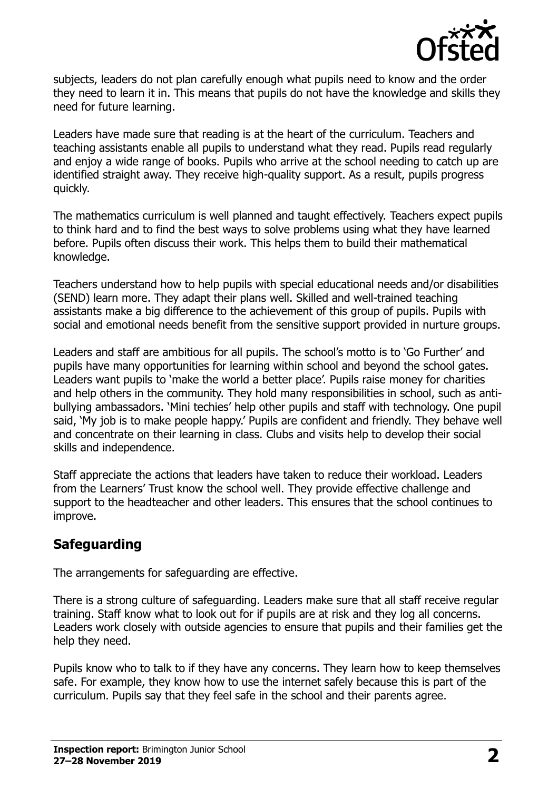

subjects, leaders do not plan carefully enough what pupils need to know and the order they need to learn it in. This means that pupils do not have the knowledge and skills they need for future learning.

Leaders have made sure that reading is at the heart of the curriculum. Teachers and teaching assistants enable all pupils to understand what they read. Pupils read regularly and enjoy a wide range of books. Pupils who arrive at the school needing to catch up are identified straight away. They receive high-quality support. As a result, pupils progress quickly.

The mathematics curriculum is well planned and taught effectively. Teachers expect pupils to think hard and to find the best ways to solve problems using what they have learned before. Pupils often discuss their work. This helps them to build their mathematical knowledge.

Teachers understand how to help pupils with special educational needs and/or disabilities (SEND) learn more. They adapt their plans well. Skilled and well-trained teaching assistants make a big difference to the achievement of this group of pupils. Pupils with social and emotional needs benefit from the sensitive support provided in nurture groups.

Leaders and staff are ambitious for all pupils. The school's motto is to 'Go Further' and pupils have many opportunities for learning within school and beyond the school gates. Leaders want pupils to 'make the world a better place'. Pupils raise money for charities and help others in the community. They hold many responsibilities in school, such as antibullying ambassadors. 'Mini techies' help other pupils and staff with technology. One pupil said, 'My job is to make people happy.' Pupils are confident and friendly. They behave well and concentrate on their learning in class. Clubs and visits help to develop their social skills and independence.

Staff appreciate the actions that leaders have taken to reduce their workload. Leaders from the Learners' Trust know the school well. They provide effective challenge and support to the headteacher and other leaders. This ensures that the school continues to improve.

### **Safeguarding**

The arrangements for safeguarding are effective.

There is a strong culture of safeguarding. Leaders make sure that all staff receive regular training. Staff know what to look out for if pupils are at risk and they log all concerns. Leaders work closely with outside agencies to ensure that pupils and their families get the help they need.

Pupils know who to talk to if they have any concerns. They learn how to keep themselves safe. For example, they know how to use the internet safely because this is part of the curriculum. Pupils say that they feel safe in the school and their parents agree.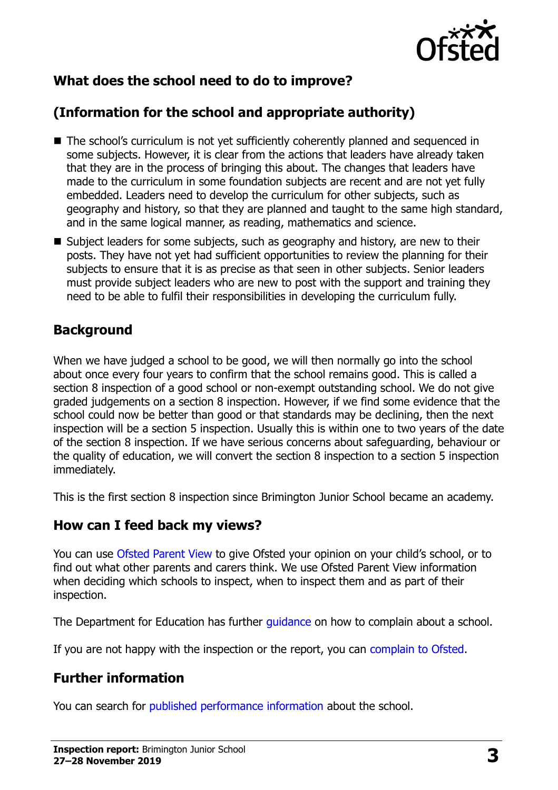

# **What does the school need to do to improve?**

# **(Information for the school and appropriate authority)**

- The school's curriculum is not yet sufficiently coherently planned and sequenced in some subjects. However, it is clear from the actions that leaders have already taken that they are in the process of bringing this about. The changes that leaders have made to the curriculum in some foundation subjects are recent and are not yet fully embedded. Leaders need to develop the curriculum for other subjects, such as geography and history, so that they are planned and taught to the same high standard, and in the same logical manner, as reading, mathematics and science.
- Subject leaders for some subjects, such as geography and history, are new to their posts. They have not yet had sufficient opportunities to review the planning for their subjects to ensure that it is as precise as that seen in other subjects. Senior leaders must provide subject leaders who are new to post with the support and training they need to be able to fulfil their responsibilities in developing the curriculum fully.

#### **Background**

When we have judged a school to be good, we will then normally go into the school about once every four years to confirm that the school remains good. This is called a section 8 inspection of a good school or non-exempt outstanding school. We do not give graded judgements on a section 8 inspection. However, if we find some evidence that the school could now be better than good or that standards may be declining, then the next inspection will be a section 5 inspection. Usually this is within one to two years of the date of the section 8 inspection. If we have serious concerns about safeguarding, behaviour or the quality of education, we will convert the section 8 inspection to a section 5 inspection immediately.

This is the first section 8 inspection since Brimington Junior School became an academy.

#### **How can I feed back my views?**

You can use [Ofsted Parent View](https://parentview.ofsted.gov.uk/) to give Ofsted your opinion on your child's school, or to find out what other parents and carers think. We use Ofsted Parent View information when deciding which schools to inspect, when to inspect them and as part of their inspection.

The Department for Education has further quidance on how to complain about a school.

If you are not happy with the inspection or the report, you can [complain to Ofsted.](https://www.gov.uk/complain-ofsted-report)

### **Further information**

You can search for [published performance information](http://www.compare-school-performance.service.gov.uk/) about the school.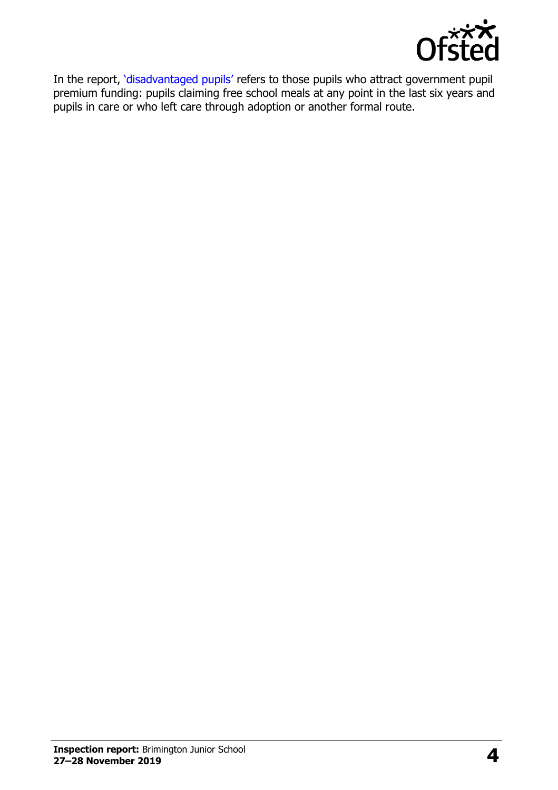

In the report, '[disadvantaged pupils](http://www.gov.uk/guidance/pupil-premium-information-for-schools-and-alternative-provision-settings)' refers to those pupils who attract government pupil premium funding: pupils claiming free school meals at any point in the last six years and pupils in care or who left care through adoption or another formal route.

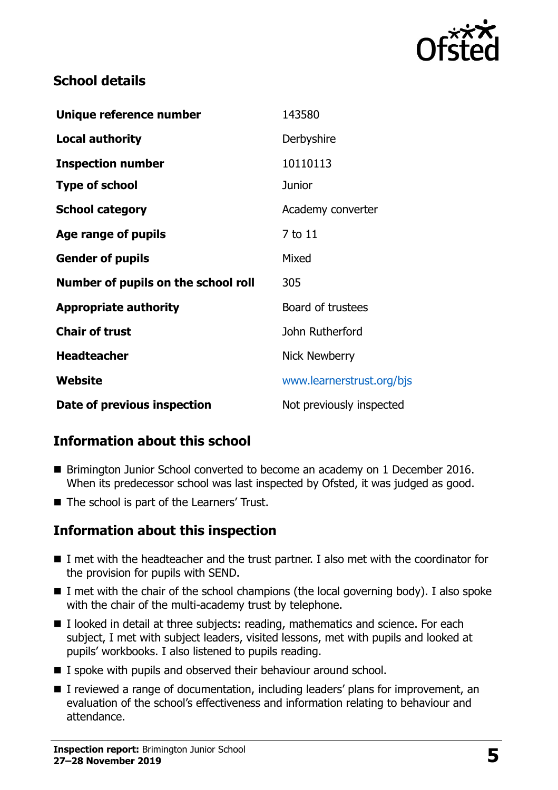

#### **School details**

| Unique reference number             | 143580                    |
|-------------------------------------|---------------------------|
| <b>Local authority</b>              | Derbyshire                |
| <b>Inspection number</b>            | 10110113                  |
| <b>Type of school</b>               | <b>Junior</b>             |
| <b>School category</b>              | Academy converter         |
| Age range of pupils                 | 7 to 11                   |
| <b>Gender of pupils</b>             | Mixed                     |
| Number of pupils on the school roll | 305                       |
| <b>Appropriate authority</b>        | Board of trustees         |
| <b>Chair of trust</b>               | John Rutherford           |
| <b>Headteacher</b>                  | <b>Nick Newberry</b>      |
| Website                             | www.learnerstrust.org/bjs |
| Date of previous inspection         | Not previously inspected  |

### **Information about this school**

- Brimington Junior School converted to become an academy on 1 December 2016. When its predecessor school was last inspected by Ofsted, it was judged as good.
- The school is part of the Learners' Trust.

### **Information about this inspection**

- I met with the headteacher and the trust partner. I also met with the coordinator for the provision for pupils with SEND.
- $\blacksquare$  I met with the chair of the school champions (the local governing body). I also spoke with the chair of the multi-academy trust by telephone.
- $\blacksquare$  I looked in detail at three subjects: reading, mathematics and science. For each subject, I met with subject leaders, visited lessons, met with pupils and looked at pupils' workbooks. I also listened to pupils reading.
- I spoke with pupils and observed their behaviour around school.
- I reviewed a range of documentation, including leaders' plans for improvement, an evaluation of the school's effectiveness and information relating to behaviour and attendance.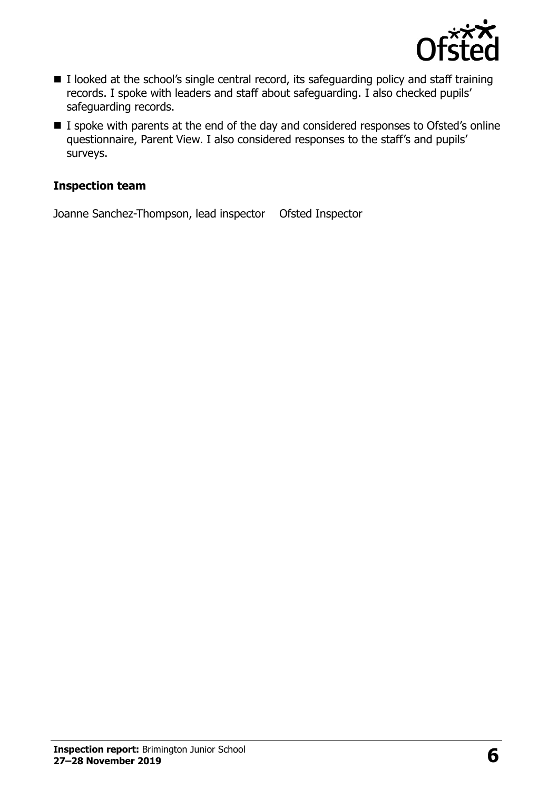

- I looked at the school's single central record, its safeguarding policy and staff training records. I spoke with leaders and staff about safeguarding. I also checked pupils' safeguarding records.
- I spoke with parents at the end of the day and considered responses to Ofsted's online questionnaire, Parent View. I also considered responses to the staff's and pupils' surveys.

#### **Inspection team**

Joanne Sanchez-Thompson, lead inspector Ofsted Inspector